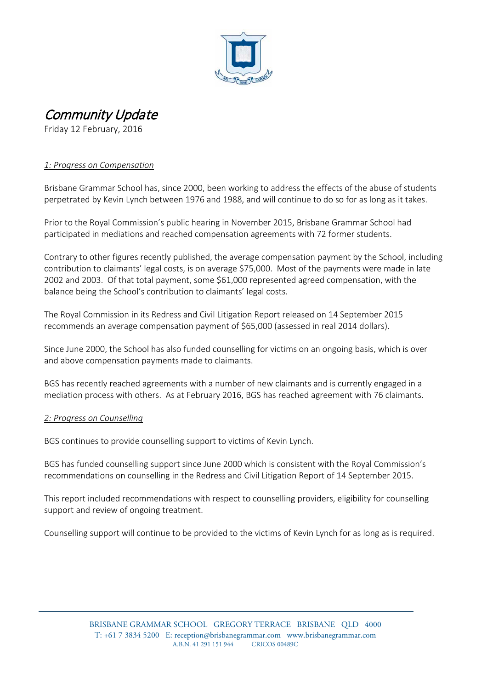

# Community Update

Friday 12 February, 2016

# *1: Progress on Compensation*

Brisbane Grammar School has, since 2000, been working to address the effects of the abuse of students perpetrated by Kevin Lynch between 1976 and 1988, and will continue to do so for as long as it takes.

Prior to the Royal Commission's public hearing in November 2015, Brisbane Grammar School had participated in mediations and reached compensation agreements with 72 former students.

Contrary to other figures recently published, the average compensation payment by the School, including contribution to claimants' legal costs, is on average \$75,000. Most of the payments were made in late 2002 and 2003. Of that total payment, some \$61,000 represented agreed compensation, with the balance being the School's contribution to claimants' legal costs.

The Royal Commission in its Redress and Civil Litigation Report released on 14 September 2015 recommends an average compensation payment of \$65,000 (assessed in real 2014 dollars).

Since June 2000, the School has also funded counselling for victims on an ongoing basis, which is over and above compensation payments made to claimants.

BGS has recently reached agreements with a number of new claimants and is currently engaged in a mediation process with others. As at February 2016, BGS has reached agreement with 76 claimants.

### *2: Progress on Counselling*

BGS continues to provide counselling support to victims of Kevin Lynch.

BGS has funded counselling support since June 2000 which is consistent with the Royal Commission's recommendations on counselling in the Redress and Civil Litigation Report of 14 September 2015.

This report included recommendations with respect to counselling providers, eligibility for counselling support and review of ongoing treatment.

Counselling support will continue to be provided to the victims of Kevin Lynch for as long as is required.